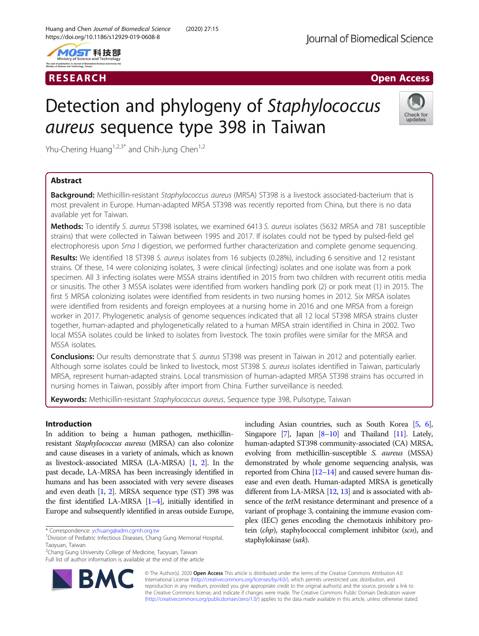



# RESEARCH **RESEARCH International Community Community** Community Community Community Community Community Community

# Detection and phylogeny of Staphylococcus aureus sequence type 398 in Taiwan



Yhu-Chering Huang<sup>1,2,3\*</sup> and Chih-Jung Chen<sup>1,2</sup>

# Abstract

Background: Methicillin-resistant Staphylococcus aureus (MRSA) ST398 is a livestock associated-bacterium that is most prevalent in Europe. Human-adapted MRSA ST398 was recently reported from China, but there is no data available yet for Taiwan.

Methods: To identify S. aureus ST398 isolates, we examined 6413 S. aureus isolates (5632 MRSA and 781 susceptible strains) that were collected in Taiwan between 1995 and 2017. If isolates could not be typed by pulsed-field gel electrophoresis upon Sma I digestion, we performed further characterization and complete genome sequencing.

Results: We identified 18 ST398 S. aureus isolates from 16 subjects (0.28%), including 6 sensitive and 12 resistant strains. Of these, 14 were colonizing isolates, 3 were clinical (infecting) isolates and one isolate was from a pork specimen. All 3 infecting isolates were MSSA strains identified in 2015 from two children with recurrent otitis media or sinusitis. The other 3 MSSA isolates were identified from workers handling pork (2) or pork meat (1) in 2015. The first 5 MRSA colonizing isolates were identified from residents in two nursing homes in 2012. Six MRSA isolates were identified from residents and foreign employees at a nursing home in 2016 and one MRSA from a foreign worker in 2017. Phylogenetic analysis of genome sequences indicated that all 12 local ST398 MRSA strains cluster together, human-adapted and phylogenetically related to a human MRSA strain identified in China in 2002. Two local MSSA isolates could be linked to isolates from livestock. The toxin profiles were similar for the MRSA and MSSA isolates.

Conclusions: Our results demonstrate that S. aureus ST398 was present in Taiwan in 2012 and potentially earlier. Although some isolates could be linked to livestock, most ST398 S. aureus isolates identified in Taiwan, particularly MRSA, represent human-adapted strains. Local transmission of human-adapted MRSA ST398 strains has occurred in nursing homes in Taiwan, possibly after import from China. Further surveillance is needed.

Keywords: Methicillin-resistant Staphylococcus aureus, Sequence type 398, Pulsotype, Taiwan

# Introduction

In addition to being a human pathogen, methicillinresistant Staphylococcus aureus (MRSA) can also colonize and cause diseases in a variety of animals, which as known as livestock-associated MRSA (LA-MRSA) [\[1,](#page-7-0) [2\]](#page-7-0). In the past decade, LA-MRSA has been increasingly identified in humans and has been associated with very severe diseases and even death [\[1](#page-7-0), [2](#page-7-0)]. MRSA sequence type (ST) 398 was the first identified LA-MRSA [\[1](#page-7-0)–[4](#page-7-0)], initially identified in Europe and subsequently identified in areas outside Europe,

Full list of author information is available at the end of the article



including Asian countries, such as South Korea [\[5](#page-7-0), [6](#page-7-0)], Singapore  $[7]$  $[7]$  $[7]$ , Japan  $[8-10]$  $[8-10]$  $[8-10]$  and Thailand  $[11]$  $[11]$  $[11]$ . Lately, human-adapted ST398 community-associated (CA) MRSA, evolving from methicillin-susceptible S. aureus (MSSA) demonstrated by whole genome sequencing analysis, was reported from China [\[12](#page-7-0)–[14\]](#page-7-0) and caused severe human disease and even death. Human-adapted MRSA is genetically different from LA-MRSA [\[12,](#page-7-0) [13\]](#page-7-0) and is associated with absence of the tetM resistance determinant and presence of a variant of prophage 3, containing the immune evasion complex (IEC) genes encoding the chemotaxis inhibitory protein (chp), staphylococcal complement inhibitor (scn), and staphylokinase (sak).

© The Author(s). 2020 Open Access This article is distributed under the terms of the Creative Commons Attribution 4.0 International License [\(http://creativecommons.org/licenses/by/4.0/](http://creativecommons.org/licenses/by/4.0/)), which permits unrestricted use, distribution, and reproduction in any medium, provided you give appropriate credit to the original author(s) and the source, provide a link to the Creative Commons license, and indicate if changes were made. The Creative Commons Public Domain Dedication waiver [\(http://creativecommons.org/publicdomain/zero/1.0/](http://creativecommons.org/publicdomain/zero/1.0/)) applies to the data made available in this article, unless otherwise stated.

<sup>\*</sup> Correspondence: [ychuang@adm.cgmh.org.tw](mailto:ychuang@adm.cgmh.org.tw) <sup>1</sup>

<sup>&</sup>lt;sup>1</sup> Division of Pediatric Infectious Diseases, Chang Gung Memorial Hospital, Taoyuan, Taiwan

<sup>&</sup>lt;sup>2</sup>Chang Gung University College of Medicine, Taoyuan, Taiwan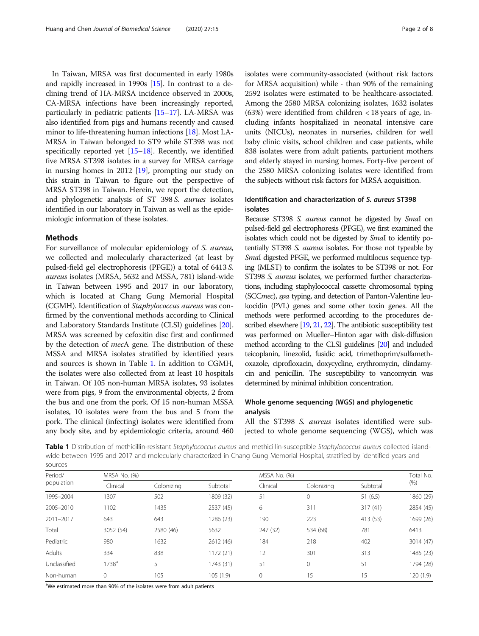In Taiwan, MRSA was first documented in early 1980s and rapidly increased in 1990s [[15](#page-7-0)]. In contrast to a declining trend of HA-MRSA incidence observed in 2000s, CA-MRSA infections have been increasingly reported, particularly in pediatric patients [\[15](#page-7-0)–[17](#page-7-0)]. LA-MRSA was also identified from pigs and humans recently and caused minor to life-threatening human infections [[18](#page-7-0)]. Most LA-MRSA in Taiwan belonged to ST9 while ST398 was not specifically reported yet [\[15](#page-7-0)–[18](#page-7-0)]. Recently, we identified five MRSA ST398 isolates in a survey for MRSA carriage in nursing homes in 2012 [\[19](#page-7-0)], prompting our study on this strain in Taiwan to figure out the perspective of MRSA ST398 in Taiwan. Herein, we report the detection, and phylogenetic analysis of ST 398 S. aurues isolates identified in our laboratory in Taiwan as well as the epidemiologic information of these isolates.

# Methods

For surveillance of molecular epidemiology of S. aureus, we collected and molecularly characterized (at least by pulsed-field gel electrophoresis (PFGE)) a total of 6413 S. aureus isolates (MRSA, 5632 and MSSA, 781) island-wide in Taiwan between 1995 and 2017 in our laboratory, which is located at Chang Gung Memorial Hospital (CGMH). Identification of Staphylococcus aureus was confirmed by the conventional methods according to Clinical and Laboratory Standards Institute (CLSI) guidelines [[20](#page-7-0)]. MRSA was screened by cefoxitin disc first and confirmed by the detection of mecA gene. The distribution of these MSSA and MRSA isolates stratified by identified years and sources is shown in Table 1. In addition to CGMH, the isolates were also collected from at least 10 hospitals in Taiwan. Of 105 non-human MRSA isolates, 93 isolates were from pigs, 9 from the environmental objects, 2 from the bus and one from the pork. Of 15 non-human MSSA isolates, 10 isolates were from the bus and 5 from the pork. The clinical (infecting) isolates were identified from any body site, and by epidemiologic criteria, around 460 isolates were community-associated (without risk factors for MRSA acquisition) while - than 90% of the remaining 2592 isolates were estimated to be healthcare-associated. Among the 2580 MRSA colonizing isolates, 1632 isolates (63%) were identified from children  $<$  18 years of age, including infants hospitalized in neonatal intensive care units (NICUs), neonates in nurseries, children for well baby clinic visits, school children and case patients, while 838 isolates were from adult patients, parturient mothers and elderly stayed in nursing homes. Forty-five percent of the 2580 MRSA colonizing isolates were identified from the subjects without risk factors for MRSA acquisition.

# Identification and characterization of S. aureus ST398 isolates

Because ST398 S. aureus cannot be digested by SmaI on pulsed-field gel electrophoresis (PFGE), we first examined the isolates which could not be digested by SmaI to identify potentially ST398 S. aureus isolates. For those not typeable by SmaI digested PFGE, we performed multilocus sequence typing (MLST) to confirm the isolates to be ST398 or not. For ST398 S. aureus isolates, we performed further characterizations, including staphylococcal cassette chromosomal typing (SCC*mec*), spa typing, and detection of Panton-Valentine leukocidin (PVL) genes and some other toxin genes. All the methods were performed according to the procedures described elsewhere [\[19](#page-7-0), [21,](#page-7-0) [22](#page-7-0)]. The antibiotic susceptibility test was performed on Mueller–Hinton agar with disk-diffusion method according to the CLSI guidelines [\[20](#page-7-0)] and included teicoplanin, linezolid, fusidic acid, trimethoprim/sulfamethoxazole, ciprofloxacin, doxycycline, erythromycin, clindamycin and penicillin. The susceptibility to vancomycin was determined by minimal inhibition concentration.

# Whole genome sequencing (WGS) and phylogenetic analysis

All the ST398 S. aureus isolates identified were subjected to whole genome sequencing (WGS), which was

Table 1 Distribution of methicillin-resistant Staphylococcus aureus and methicillin-susceptible Staphylococcus aureus collected islandwide between 1995 and 2017 and molecularly characterized in Chang Gung Memorial Hospital, stratified by identified years and sources

| Period/<br>population | MRSA No. (%) |            |           | MSSA No. (%) | Total No.    |          |           |
|-----------------------|--------------|------------|-----------|--------------|--------------|----------|-----------|
|                       | Clinical     | Colonizing | Subtotal  | Clinical     | Colonizing   | Subtotal | $(\% )$   |
| 1995-2004             | 307          | 502        | 1809 (32) | 51           | $\mathbf{0}$ | 51(6.5)  |           |
| 2005-2010             | 1102         | 1435       | 2537 (45) | 6            | 311          | 317(41)  | 2854 (45) |
| 2011-2017             | 643          | 643        | 1286 (23) | 190          | 223          | 413 (53) | 1699 (26) |
| Total                 | 3052 (54)    | 2580 (46)  | 5632      | 247 (32)     | 534 (68)     | 781      | 6413      |
| Pediatric             | 980          | 1632       | 2612 (46) | 184          | 218          | 402      | 3014 (47) |
| Adults                | 334          | 838        | 1172 (21) | 12           | 301          | 313      | 1485 (23) |
| Unclassified          | $1738^a$     | 5          | 1743 (31) | 51           | $\mathbf{0}$ | 51       | 1794 (28) |
| Non-human             | 0            | 105        | 105(1.9)  | 0            | 15           | 15       | 120 (1.9) |

<sup>a</sup>We estimated more than 90% of the isolates were from adult patients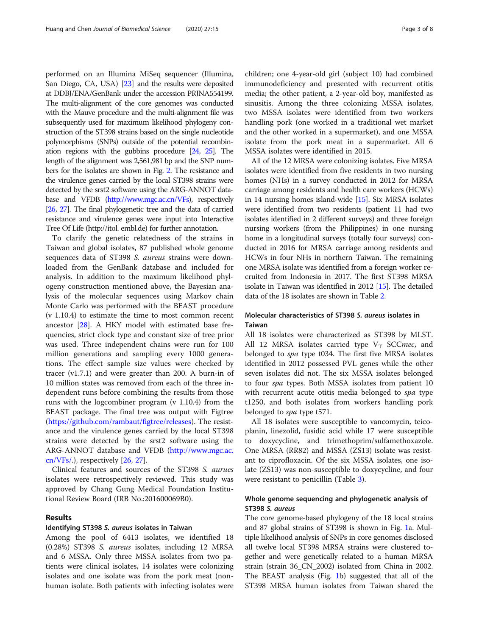performed on an Illumina MiSeq sequencer (Illumina, San Diego, CA, USA) [[23\]](#page-7-0) and the results were deposited at DDBJ/ENA/GenBank under the accession PRJNA554199. The multi-alignment of the core genomes was conducted with the Mauve procedure and the multi-alignment file was subsequently used for maximum likelihood phylogeny construction of the ST398 strains based on the single nucleotide polymorphisms (SNPs) outside of the potential recombination regions with the gubbins procedure [\[24,](#page-7-0) [25](#page-7-0)]. The length of the alignment was 2,561,981 bp and the SNP numbers for the isolates are shown in Fig. [2.](#page-5-0) The resistance and the virulence genes carried by the local ST398 strains were detected by the srst2 software using the ARG-ANNOT database and VFDB ([http://www.mgc.ac.cn/VFs\)](http://www.mgc.ac.cn/VFs), respectively [[26,](#page-7-0) [27](#page-7-0)]. The final phylogenetic tree and the data of carried resistance and virulence genes were input into Interactive Tree Of Life (http://itol. embl.de) for further annotation.

To clarify the genetic relatedness of the strains in Taiwan and global isolates, 87 published whole genome sequences data of ST398 S. aureus strains were downloaded from the GenBank database and included for analysis. In addition to the maximum likelihood phylogeny construction mentioned above, the Bayesian analysis of the molecular sequences using Markov chain Monte Carlo was performed with the BEAST procedure (v 1.10.4) to estimate the time to most common recent ancestor [\[28\]](#page-7-0). A HKY model with estimated base frequencies, strict clock type and constant size of tree prior was used. Three independent chains were run for 100 million generations and sampling every 1000 generations. The effect sample size values were checked by tracer (v1.7.1) and were greater than 200. A burn-in of 10 million states was removed from each of the three independent runs before combining the results from those runs with the logcombiner program (v 1.10.4) from the BEAST package. The final tree was output with Figtree ([https://github.com/rambaut/figtree/releases\)](https://github.com/rambaut/figtree/releases). The resistance and the virulence genes carried by the local ST398 strains were detected by the srst2 software using the ARG-ANNOT database and VFDB [\(http://www.mgc.ac.](http://www.mgc.ac.cn/VFs/) [cn/VFs/](http://www.mgc.ac.cn/VFs/).), respectively [\[26](#page-7-0), [27](#page-7-0)].

Clinical features and sources of the ST398 S. aurues isolates were retrospectively reviewed. This study was approved by Chang Gung Medical Foundation Institutional Review Board (IRB No.:201600069B0).

# Results

### Identifying ST398 S. aureus isolates in Taiwan

Among the pool of 6413 isolates, we identified 18 (0.28%) ST398 S. aureus isolates, including 12 MRSA and 6 MSSA. Only three MSSA isolates from two patients were clinical isolates, 14 isolates were colonizing isolates and one isolate was from the pork meat (nonhuman isolate. Both patients with infecting isolates were children; one 4-year-old girl (subject 10) had combined immunodeficiency and presented with recurrent otitis media; the other patient, a 2-year-old boy, manifested as sinusitis. Among the three colonizing MSSA isolates, two MSSA isolates were identified from two workers handling pork (one worked in a traditional wet market and the other worked in a supermarket), and one MSSA isolate from the pork meat in a supermarket. All 6 MSSA isolates were identified in 2015.

All of the 12 MRSA were colonizing isolates. Five MRSA isolates were identified from five residents in two nursing homes (NHs) in a survey conducted in 2012 for MRSA carriage among residents and health care workers (HCWs) in 14 nursing homes island-wide [\[15\]](#page-7-0). Six MRSA isolates were identified from two residents (patient 11 had two isolates identified in 2 different surveys) and three foreign nursing workers (from the Philippines) in one nursing home in a longitudinal surveys (totally four surveys) conducted in 2016 for MRSA carriage among residents and HCWs in four NHs in northern Taiwan. The remaining one MRSA isolate was identified from a foreign worker recruited from Indonesia in 2017. The first ST398 MRSA isolate in Taiwan was identified in 2012 [[15](#page-7-0)]. The detailed data of the 18 isolates are shown in Table [2.](#page-3-0)

# Molecular characteristics of ST398 S. aureus isolates in Taiwan

All 18 isolates were characterized as ST398 by MLST. All 12 MRSA isolates carried type  $V_T$  SCCmec, and belonged to *spa* type t034. The first five MRSA isolates identified in 2012 possessed PVL genes while the other seven isolates did not. The six MSSA isolates belonged to four spa types. Both MSSA isolates from patient 10 with recurrent acute otitis media belonged to spa type t1250, and both isolates from workers handling pork belonged to spa type t571.

All 18 isolates were susceptible to vancomycin, teicoplanin, linezolid, fusidic acid while 17 were susceptible to doxycycline, and trimethoprim/sulfamethoxazole. One MRSA (RR82) and MSSA (ZS13) isolate was resistant to ciprofloxacin. Of the six MSSA isolates, one isolate (ZS13) was non-susceptible to doxycycline, and four were resistant to penicillin (Table [3](#page-3-0)).

# Whole genome sequencing and phylogenetic analysis of ST398 S. aureus

The core genome-based phylogeny of the 18 local strains and 87 global strains of ST398 is shown in Fig. [1](#page-5-0)a. Multiple likelihood analysis of SNPs in core genomes disclosed all twelve local ST398 MRSA strains were clustered together and were genetically related to a human MRSA strain (strain 36\_CN\_2002) isolated from China in 2002. The BEAST analysis (Fig. [1](#page-5-0)b) suggested that all of the ST398 MRSA human isolates from Taiwan shared the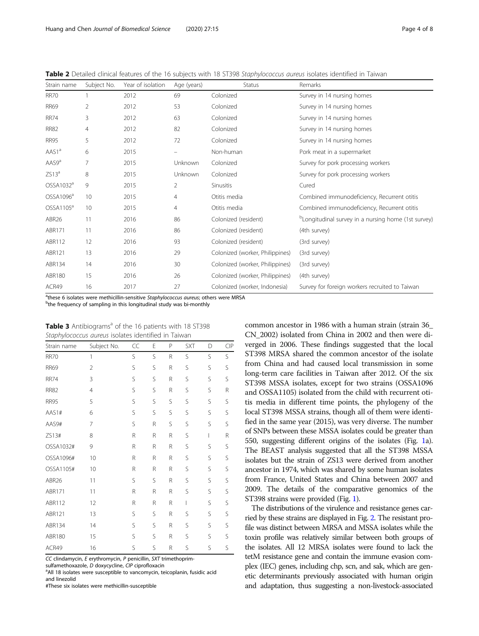<span id="page-3-0"></span>Table 2 Detailed clinical features of the 16 subjects with 18 ST398 Staphylococcus aureus isolates identified in Taiwan

| Strain name           | Subject No. | Year of isolation | Age (years) | <b>Status</b>                   | Remarks                                                         |
|-----------------------|-------------|-------------------|-------------|---------------------------------|-----------------------------------------------------------------|
| <b>RR70</b>           |             | 2012              | 69          | Colonized                       | Survey in 14 nursing homes                                      |
| <b>RR69</b>           | 2           | 2012              | 53          | Colonized                       | Survey in 14 nursing homes                                      |
| <b>RR74</b>           | 3           | 2012              | 63          | Colonized                       | Survey in 14 nursing homes                                      |
| <b>RR82</b>           | 4           | 2012              | 82          | Colonized                       | Survey in 14 nursing homes                                      |
| <b>RR95</b>           | 5           | 2012              | 72          | Colonized                       | Survey in 14 nursing homes                                      |
| AAS1ª                 | 6           | 2015              | -           | Non-human                       | Pork meat in a supermarket                                      |
| AAS9 <sup>a</sup>     | 7           | 2015              | Unknown     | Colonized                       | Survey for pork processing workers                              |
| ZS13 <sup>a</sup>     | 8           | 2015              | Unknown     | Colonized                       | Survey for pork processing workers                              |
| OSSA1032ª             | 9           | 2015              | 2           | <b>Sinusitis</b>                | Cured                                                           |
| OSSA1096 <sup>a</sup> | 10          | 2015              | 4           | Otitis media                    | Combined immunodeficiency, Recurrent otitis                     |
| OSSA1105 <sup>a</sup> | 10          | 2015              | 4           | Otitis media                    | Combined immunodeficiency, Recurrent otitis                     |
| ABR <sub>26</sub>     | 11          | 2016              | 86          | Colonized (resident)            | <sup>b</sup> Longitudinal survey in a nursing home (1st survey) |
| ABR171                | 11          | 2016              | 86          | Colonized (resident)            | (4th survey)                                                    |
| ABR112                | 12          | 2016              | 93          | Colonized (resident)            | (3rd survey)                                                    |
| ABR121                | 13          | 2016              | 29          | Colonized (worker, Philippines) | (3rd survey)                                                    |
| ABR134                | 14          | 2016              | 30          | Colonized (worker, Philippines) | (3rd survey)                                                    |
| ABR180                | 15          | 2016              | 26          | Colonized (worker, Philippines) | (4th survey)                                                    |
| ACR49                 | 16          | 2017              | 27          | Colonized (worker, Indonesia)   | Survey for foreign workers recruited to Taiwan                  |

<sup>a</sup>these 6 isolates were methicillin-sensitive Staphylococcus aureus; others were MRSA<br><sup>b</sup>the frequency of sampling in this longitudinal study was bi-monthly

<sup>b</sup>the frequency of sampling in this longitudinal study was bi-monthly

| Table 3 Antibiograms <sup>a</sup> of the 16 patients with 18 ST398 |  |
|--------------------------------------------------------------------|--|
| Staphylococcus aureus isolates identified in Taiwan                |  |

| Strain name   | Subject No.    | CC | E | P | <b>SXT</b> | D | CIP |
|---------------|----------------|----|---|---|------------|---|-----|
| <b>RR70</b>   | 1              | S  | S | R | S          | S | S   |
| <b>RR69</b>   | $\overline{2}$ | S  | S | R | S          | S | S   |
| <b>RR74</b>   | 3              | S  | S | R | S          | S | S   |
| <b>RR82</b>   | $\overline{4}$ | S  | S | R | S          | S | R   |
| <b>RR95</b>   | 5              | S  | S | S | S          | S | S   |
| AAS1#         | 6              | S  | S | S | S          | S | S   |
| AAS9#         | 7              | Ś  | R | S | S          | S | S   |
| ZS13#         | 8              | R  | R | R | S          | I | R   |
| OSSA1032#     | 9              | R  | R | R | S          | S | S   |
| OSSA1096#     | 10             | R  | R | R | S          | S | S   |
| OSSA1105#     | 10             | R  | R | R | S          | S | S   |
| ABR26         | 11             | S  | S | R | S          | S | S   |
| ABR171        | 11             | R  | R | R | S          | S | S   |
| ABR112        | 12             | R  | R | R | L          | S | S   |
| ABR121        | 13             | S  | S | R | S          | S | S   |
| ABR134        | 14             | S  | S | R | S          | S | S   |
| <b>ABR180</b> | 15             | S  | S | R | S          | S | S   |
| ACR49         | 16             | Ś  | S | R | S          | S | Ś   |

CC clindamycin, E erythromycin, P penicillin, SXT trimethoprim-

sulfamethoxazole, D doxycycline, CIP ciprofloxacin

<sup>a</sup> All 18 isolates were susceptible to vancomycin, teicoplanin, fusidic acid and linezolid

#These six isolates were methicillin-susceptible

common ancestor in 1986 with a human strain (strain 36\_ CN\_2002) isolated from China in 2002 and then were diverged in 2006. These findings suggested that the local ST398 MRSA shared the common ancestor of the isolate from China and had caused local transmission in some long-term care facilities in Taiwan after 2012. Of the six ST398 MSSA isolates, except for two strains (OSSA1096 and OSSA1105) isolated from the child with recurrent otitis media in different time points, the phylogeny of the local ST398 MSSA strains, though all of them were identified in the same year (2015), was very diverse. The number of SNPs between these MSSA isolates could be greater than 550, suggesting different origins of the isolates (Fig. [1](#page-5-0)a). The BEAST analysis suggested that all the ST398 MSSA isolates but the strain of ZS13 were derived from another ancestor in 1974, which was shared by some human isolates from France, United States and China between 2007 and 2009. The details of the comparative genomics of the ST398 strains were provided (Fig. [1](#page-5-0)).

The distributions of the virulence and resistance genes carried by these strains are displayed in Fig. [2](#page-5-0). The resistant profile was distinct between MRSA and MSSA isolates while the toxin profile was relatively similar between both groups of the isolates. All 12 MRSA isolates were found to lack the tetM resistance gene and contain the immune evasion complex (IEC) genes, including chp, scn, and sak, which are genetic determinants previously associated with human origin and adaptation, thus suggesting a non-livestock-associated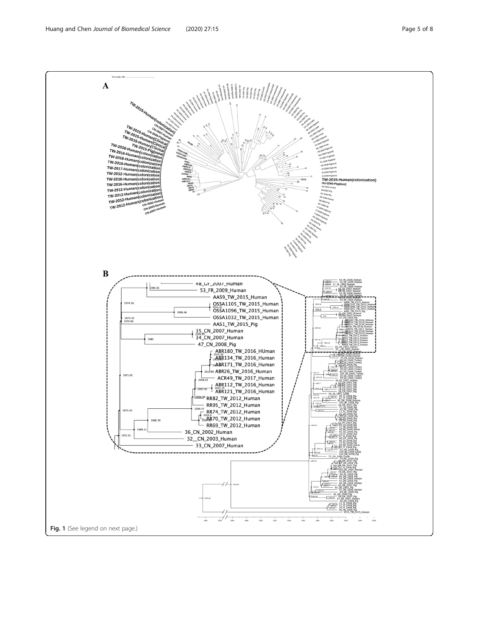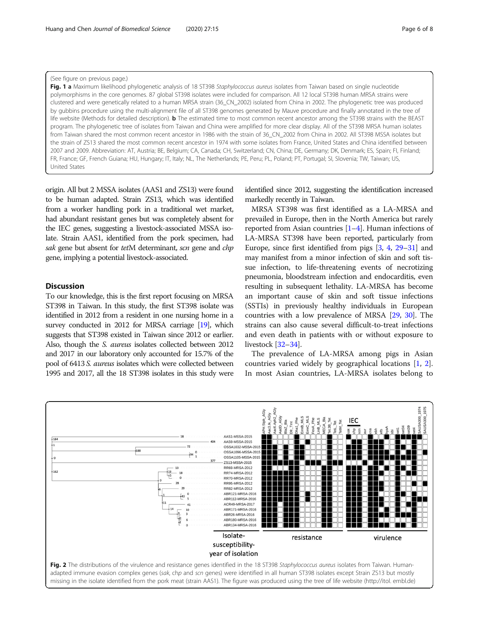<span id="page-5-0"></span>(See figure on previous page.)

Fig. 1 a Maximum likelihood phylogenetic analysis of 18 ST398 Staphylococcus aureus isolates from Taiwan based on single nucleotide polymorphisms in the core genomes. 87 global ST398 isolates were included for comparison. All 12 local ST398 human MRSA strains were clustered and were genetically related to a human MRSA strain (36\_CN\_2002) isolated from China in 2002. The phylogenetic tree was produced by gubbins procedure using the multi-alignment file of all ST398 genomes generated by Mauve procedure and finally annotated in the tree of life website (Methods for detailed description). **b** The estimated time to most common recent ancestor among the ST398 strains with the BEAST program. The phylogenetic tree of isolates from Taiwan and China were amplified for more clear display. All of the ST398 MRSA human isolates from Taiwan shared the most common recent ancestor in 1986 with the strain of 36\_CN\_2002 from China in 2002. All ST398 MSSA isolates but the strain of ZS13 shared the most common recent ancestor in 1974 with some isolates from France, United States and China identified between 2007 and 2009. Abbreviation: AT, Austria; BE, Belgium; CA, Canada; CH, Switzerland; CN, China; DE, Germany; DK, Denmark; ES, Spain; FI, Finland; FR, France; GF, French Guiana; HU, Hungary; IT, Italy; NL, The Netherlands; PE, Peru; PL, Poland; PT, Portugal; SI, Slovenia; TW, Taiwan; US, United States

origin. All but 2 MSSA isolates (AAS1 and ZS13) were found to be human adapted. Strain ZS13, which was identified from a worker handling pork in a traditional wet market, had abundant resistant genes but was completely absent for the IEC genes, suggesting a livestock-associated MSSA isolate. Strain AAS1, identified from the pork specimen, had sak gene but absent for tetM determinant, scn gene and chp gene, implying a potential livestock-associated.

# **Discussion**

To our knowledge, this is the first report focusing on MRSA ST398 in Taiwan. In this study, the first ST398 isolate was identified in 2012 from a resident in one nursing home in a survey conducted in 2012 for MRSA carriage [[19\]](#page-7-0), which suggests that ST398 existed in Taiwan since 2012 or earlier. Also, though the S. aureus isolates collected between 2012 and 2017 in our laboratory only accounted for 15.7% of the pool of 6413 S. aureus isolates which were collected between 1995 and 2017, all the 18 ST398 isolates in this study were

identified since 2012, suggesting the identification increased markedly recently in Taiwan.

MRSA ST398 was first identified as a LA-MRSA and prevailed in Europe, then in the North America but rarely reported from Asian countries [\[1](#page-7-0)–[4\]](#page-7-0). Human infections of LA-MRSA ST398 have been reported, particularly from Europe, since first identified from pigs [\[3](#page-7-0), [4,](#page-7-0) [29](#page-7-0)–[31\]](#page-7-0) and may manifest from a minor infection of skin and soft tissue infection, to life-threatening events of necrotizing pneumonia, bloodstream infection and endocarditis, even resulting in subsequent lethality. LA-MRSA has become an important cause of skin and soft tissue infections (SSTIs) in previously healthy individuals in European countries with a low prevalence of MRSA [[29](#page-7-0), [30](#page-7-0)]. The strains can also cause several difficult-to-treat infections and even death in patients with or without exposure to livestock [\[32](#page-7-0)–[34](#page-7-0)].

The prevalence of LA-MRSA among pigs in Asian countries varied widely by geographical locations [\[1](#page-7-0), [2](#page-7-0)]. In most Asian countries, LA-MRSA isolates belong to

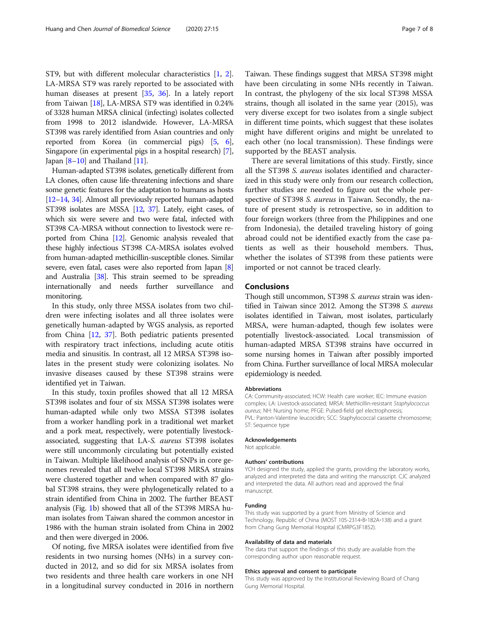ST9, but with different molecular characteristics [[1,](#page-7-0) [2](#page-7-0)]. LA-MRSA ST9 was rarely reported to be associated with human diseases at present [\[35](#page-7-0), [36\]](#page-7-0). In a lately report from Taiwan [\[18\]](#page-7-0), LA-MRSA ST9 was identified in 0.24% of 3328 human MRSA clinical (infecting) isolates collected from 1998 to 2012 islandwide. However, LA-MRSA ST398 was rarely identified from Asian countries and only reported from Korea (in commercial pigs) [\[5,](#page-7-0) [6](#page-7-0)], Singapore (in experimental pigs in a hospital research) [[7](#page-7-0)], Japan  $[8-10]$  $[8-10]$  $[8-10]$  and Thailand  $[11]$ .

Human-adapted ST398 isolates, genetically different from LA clones, often cause life-threatening infections and share some genetic features for the adaptation to humans as hosts [[12](#page-7-0)–[14](#page-7-0), [34\]](#page-7-0). Almost all previously reported human-adapted ST398 isolates are MSSA [\[12,](#page-7-0) [37\]](#page-7-0). Lately, eight cases, of which six were severe and two were fatal, infected with ST398 CA-MRSA without connection to livestock were reported from China [\[12](#page-7-0)]. Genomic analysis revealed that these highly infectious ST398 CA-MRSA isolates evolved from human-adapted methicillin-susceptible clones. Similar severe, even fatal, cases were also reported from Japan [[8](#page-7-0)] and Australia [\[38\]](#page-7-0). This strain seemed to be spreading internationally and needs further surveillance and monitoring.

In this study, only three MSSA isolates from two children were infecting isolates and all three isolates were genetically human-adapted by WGS analysis, as reported from China [\[12](#page-7-0), [37\]](#page-7-0). Both pediatric patients presented with respiratory tract infections, including acute otitis media and sinusitis. In contrast, all 12 MRSA ST398 isolates in the present study were colonizing isolates. No invasive diseases caused by these ST398 strains were identified yet in Taiwan.

In this study, toxin profiles showed that all 12 MRSA ST398 isolates and four of six MSSA ST398 isolates were human-adapted while only two MSSA ST398 isolates from a worker handling pork in a traditional wet market and a pork meat, respectively, were potentially livestockassociated, suggesting that LA-S. aureus ST398 isolates were still uncommonly circulating but potentially existed in Taiwan. Multiple likelihood analysis of SNPs in core genomes revealed that all twelve local ST398 MRSA strains were clustered together and when compared with 87 global ST398 strains, they were phylogenetically related to a strain identified from China in 2002. The further BEAST analysis (Fig. [1b](#page-5-0)) showed that all of the ST398 MRSA human isolates from Taiwan shared the common ancestor in 1986 with the human strain isolated from China in 2002 and then were diverged in 2006.

Of noting, five MRSA isolates were identified from five residents in two nursing homes (NHs) in a survey conducted in 2012, and so did for six MRSA isolates from two residents and three health care workers in one NH in a longitudinal survey conducted in 2016 in northern

Taiwan. These findings suggest that MRSA ST398 might have been circulating in some NHs recently in Taiwan. In contrast, the phylogeny of the six local ST398 MSSA strains, though all isolated in the same year (2015), was very diverse except for two isolates from a single subject in different time points, which suggest that these isolates might have different origins and might be unrelated to each other (no local transmission). These findings were supported by the BEAST analysis.

There are several limitations of this study. Firstly, since all the ST398 S. aureus isolates identified and characterized in this study were only from our research collection, further studies are needed to figure out the whole perspective of ST398 S. aureus in Taiwan. Secondly, the nature of present study is retrospective, so in addition to four foreign workers (three from the Philippines and one from Indonesia), the detailed traveling history of going abroad could not be identified exactly from the case patients as well as their household members. Thus, whether the isolates of ST398 from these patients were imported or not cannot be traced clearly.

# Conclusions

Though still uncommon, ST398 S. aureus strain was identified in Taiwan since 2012. Among the ST398 S. aureus isolates identified in Taiwan, most isolates, particularly MRSA, were human-adapted, though few isolates were potentially livestock-associated. Local transmission of human-adapted MRSA ST398 strains have occurred in some nursing homes in Taiwan after possibly imported from China. Further surveillance of local MRSA molecular epidemiology is needed.

#### Abbreviations

CA: Community-associated; HCW: Health care worker; IEC: Immune evasion complex; LA: Livestock-associated; MRSA: Methicillin-resistant Staphylococcus aureus; NH: Nursing home; PFGE: Pulsed-field gel electrophoresis; PVL: Panton-Valentine leucocidin; SCC: Staphylococcal cassette chromosome; ST: Sequence type

#### Acknowledgements

Not applicable.

#### Authors' contributions

YCH designed the study, applied the grants, providing the laboratory works, analyzed and interpreted the data and writing the manuscript. CJC analyzed and interpreted the data. All authors read and approved the final manuscript.

#### Funding

This study was supported by a grant from Ministry of Science and Technology, Republic of China (MOST 105-2314‐B‐182A‐138) and a grant from Chang Gung Memorial Hospital (CMRPG3F1852).

#### Availability of data and materials

The data that support the findings of this study are available from the corresponding author upon reasonable request.

#### Ethics approval and consent to participate

This study was approved by the Institutional Reviewing Board of Chang Gung Memorial Hospital.